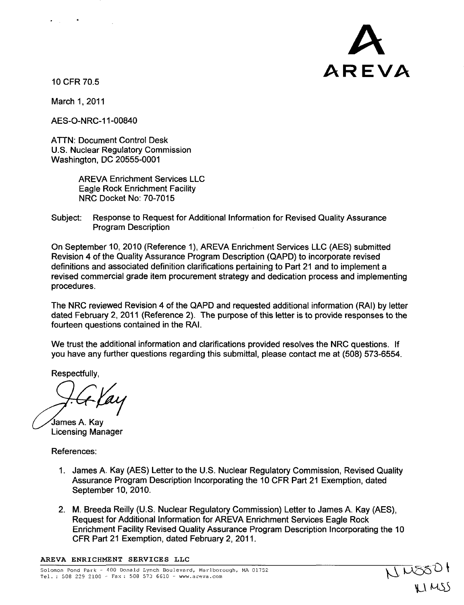

 $\frac{105501}{1000}$ 

10 CFR 70.5

 $\mathcal{L}_{\rm{max}}$  , and  $\mathcal{L}_{\rm{max}}$ 

March 1, 2011

AES-O-NRC-1 1-00840

ATTN: Document Control Desk U.S. Nuclear Regulatory Commission Washington, DC 20555-0001

> AREVA Enrichment Services LLC Eagle Rock Enrichment Facility NRC Docket No: 70-7015

Subject: Response to Request for Additional Information for Revised Quality Assurance Program Description

On September 10, 2010 (Reference 1), AREVA Enrichment Services LLC (AES) submitted Revision 4 of the Quality Assurance Program Description (QAPD) to incorporate revised definitions and associated definition clarifications pertaining to Part 21 and to implement a revised commercial grade item procurement strategy and dedication process and implementing procedures.

The NRC reviewed Revision 4 of the QAPD and requested additional information (RAI) by letter dated February 2, 2011 (Reference 2). The purpose of this letter is to provide responses to the fourteen questions contained in the RAI.

We trust the additional information and clarifications provided resolves the NRC questions. If you have any further questions regarding this submittal, please contact me at (508) 573-6554.

Respectfully,

James A. Kay Licensing Manager

References:

- 1. James A. Kay (AES) Letter to the U.S. Nuclear Regulatory Commission, Revised Quality Assurance Program Description Incorporating the 10 CFR Part 21 Exemption, dated September 10, 2010.
- 2. M. Breeda Reilly (U.S. Nuclear Regulatory Commission) Letter to James A. Kay (AES), Request for Additional Information for AREVA Enrichment Services Eagle Rock Enrichment Facility Revised Quality Assurance Program Description Incorporating the 10 CFR Part 21 Exemption, dated February 2, 2011.

AREVA ENRICHMENT SERVICES **LLC**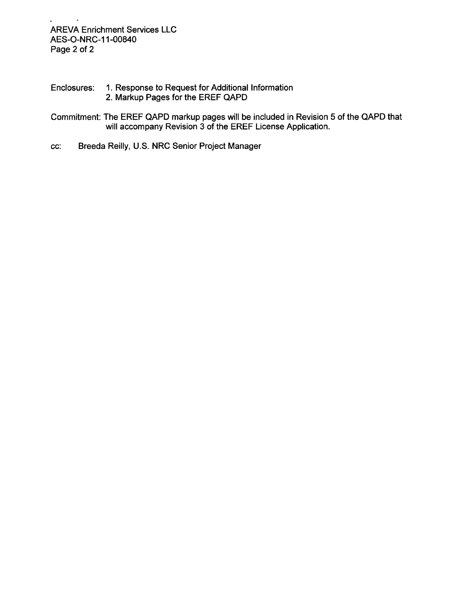- Enclosures: 1. Response to Request for Additional Information 2. Markup Pages for the EREF QAPD
- Commitment: The EREF QAPD markup pages will be included in Revision 5 of the QAPD that will accompany Revision 3 of the EREF License Application.
- cc: Breeda Reilly, U.S. NRC Senior Project Manager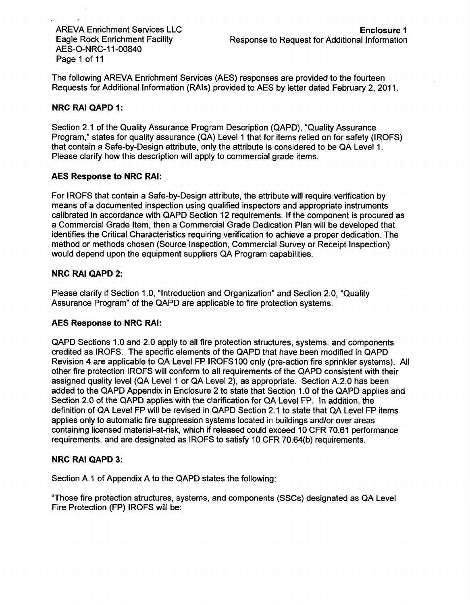AES-O-NRC-1 1-00840 Page 1 of 11

The following AREVA Enrichment Services (AES) responses are provided to the fourteen Requests for Additional Information (RAIs) provided to AES by letter dated February 2, 2011.

## NRC RAI **QAPD 1:**

Section 2.1 of the Quality Assurance Program Description (QAPD), "Quality Assurance Program," states for quality assurance (QA) Level 1 that for items relied on for safety (IROFS) that contain a Safe-by-Design attribute, only the attribute is considered to be QA Level 1. Please clarify how this description will apply to commercial grade items.

## **AES** Response to NRC **RAI:**

For IROFS that contain a Safe-by-Design attribute, the attribute will require verification by means of a documented inspection using qualified inspectors and appropriate instruments calibrated in accordance with QAPD Section 12 requirements. If the component is procured as a Commercial Grade Item, then a Commercial Grade Dedication Plan will be developed that identifies the Critical Characteristics requiring verification to achieve a proper dedication. The method or methods chosen (Source Inspection, Commercial Survey or Receipt Inspection) would depend upon the equipment suppliers QA Program capabilities.

## NRC RAI **QAPD** 2:

Please clarify if Section 1.0, "Introduction and Organization" and Section 2.0, "Quality Assurance Program" of the QAPD are applicable to fire protection systems.

### **AES** Response to NRC **RAI:**

QAPD Sections 1.0 and 2.0 apply to all fire protection structures, systems, and components credited as IROFS. The specific elements of the QAPD that have been modified in QAPD Revision 4 are applicable to QA Level FP IROFS100 only (pre-action fire sprinkler systems). All other fire protection IROFS will conform to all requirements of the QAPD consistent with their assigned quality level (QA Level 1 or QA Level 2), as appropriate. Section A.2.0 has been added to the QAPD Appendix in Enclosure 2 to state that Section 1.0 of the QAPD applies and Section 2.0 of the QAPD applies with the clarification for QA Level FP. In addition, the definition of QA Level FP will be revised in QAPD Section 2.1 to state that QA Level FP items applies only to automatic fire suppression systems located in buildings and/or over areas containing licensed material-at-risk, which if released could exceed 10 CFR 70.61 performance requirements, and are designated as IROFS to satisfy 10 CFR 70.64(b) requirements.

### NRC RAI **QAPD 3:**

Section A.1 of Appendix A to the QAPD states the following:

"Those fire protection structures, systems, and components (SSCs) designated as QA Level Fire Protection (FP) IROFS will be: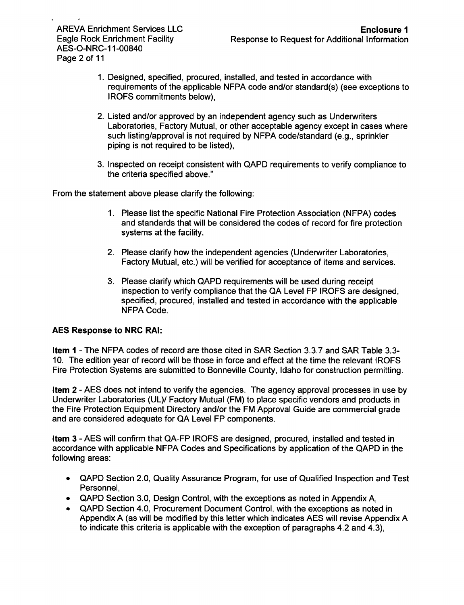AES-O-NRC-1 1-00840 Page 2 of 11

- 1. Designed, specified, procured, installed, and tested in accordance with requirements of the applicable NFPA code and/or standard(s) (see exceptions to IROFS commitments below),
- 2. Listed and/or approved by an independent agency such as Underwriters Laboratories, Factory Mutual, or other acceptable agency except in cases where such listing/approval is not required by NFPA code/standard (e.g., sprinkler piping is not required to be listed),
- 3. Inspected on receipt consistent with QAPD requirements to verify compliance to the criteria specified above."

From the statement above please clarify the following:

- 1. Please list the specific National Fire Protection Association (NFPA) codes and standards that will be considered the codes of record for fire protection systems at the facility.
- 2. Please clarify how the independent agencies (Underwriter Laboratories, Factory Mutual, etc.) will be verified for acceptance of items and services.
- 3. Please clarify which QAPD requirements will be used during receipt inspection to verify compliance that the QA Level FP IROFS are designed, specified, procured, installed and tested in accordance with the applicable NFPA Code.

## AES Response to NRC RAI:

Item **I** - The NFPA codes of record are those cited in SAR Section 3.3.7 and SAR Table 3.3- 10. The edition year of record will be those in force and effect at the time the relevant IROFS Fire Protection Systems are submitted to Bonneville County, Idaho for construction permitting.

Item 2 - AES does not intend to verify the agencies. The agency approval processes in use by Underwriter Laboratories (UL)/ Factory Mutual (FM) to place specific vendors and products in the Fire Protection Equipment Directory and/or the FM Approval Guide are commercial grade and are considered adequate for QA Level FP components.

Item **3** - AES will confirm that QA-FP IROFS are designed, procured, installed and tested in accordance with applicable NFPA Codes and Specifications by application of the QAPD in the following areas:

- \* QAPD Section 2.0, Quality Assurance Program, for use of Qualified Inspection and Test Personnel,
- \* QAPD Section **3.0,** Design Control, with the exceptions as noted in Appendix A,
- \* QAPD Section 4.0, Procurement Document Control, with the exceptions as noted in Appendix A (as will be modified by this letter which indicates AES will revise Appendix A to indicate this criteria is applicable with the exception of paragraphs 4.2 and 4.3),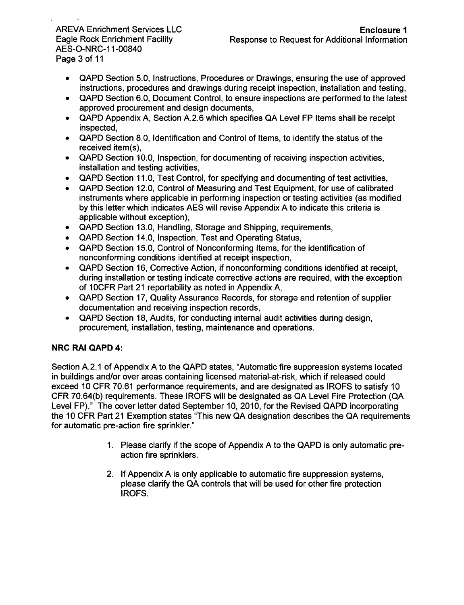AES-O-NRC-1 1-00840 Page 3 of 11

- \* QAPD Section 5.0, Instructions, Procedures or Drawings, ensuring the use of approved instructions, procedures and drawings during receipt inspection, installation and testing,
- \* QAPD Section 6.0, Document Control, to ensure inspections are performed to the latest approved procurement and design documents,
- **"** QAPD Appendix A, Section A.2.6 which specifies QA Level FP Items shall be receipt inspected,
- **"** QAPD Section 8.0, Identification and Control of Items, to identify the status of the received item(s),
- \* QAPD Section 10.0, Inspection, for documenting of receiving inspection activities, installation and testing activities,
- \* QAPD Section 11.0, Test Control, for specifying and documenting of test activities,
- \* QAPD Section 12.0, Control of Measuring and Test Equipment, for use of calibrated instruments where applicable in performing inspection or testing activities (as modified by this letter which indicates AES will revise Appendix A to indicate this criteria is applicable without exception),
- **"** QAPD Section 13.0, Handling, Storage and Shipping, requirements,
- \* QAPD Section 14.0, Inspection, Test and Operating Status,
- QAPD Section 15.0, Control of Nonconforming Items, for the identification of nonconforming conditions identified at receipt inspection,
- **"** QAPD Section 16, Corrective Action, if nonconforming conditions identified at receipt, during installation or testing indicate corrective actions are required, with the exception of 10CFR Part 21 reportability as noted in Appendix A,
- \* QAPD Section 17, Quality Assurance Records, for storage and retention of supplier documentation and receiving inspection records,
- \* QAPD Section 18, Audits, for conducting internal audit activities during design, procurement, installation, testing, maintenance and operations.

# NRC RAI **QAPD** 4:

Section A.2.1 of Appendix A to the QAPD states, "Automatic fire suppression systems located in buildings and/or over areas containing licensed material-at-risk, which if released could exceed 10 CFR 70.61 performance requirements, and are designated as IROFS to satisfy 10 CFR 70.64(b) requirements. These IROFS will be designated as QA Level Fire Protection (QA Level FP)." The cover letter dated September 10, 2010, for the Revised QAPD incorporating the 10 CFR Part 21 Exemption states "This new QA designation describes the QA requirements for automatic pre-action fire sprinkler."

- 1. Please clarify if the scope of Appendix A to the QAPD is only automatic preaction fire sprinklers.
- 2. If Appendix A is only applicable to automatic fire suppression systems, please clarify the QA controls that will be used for other fire protection IROFS.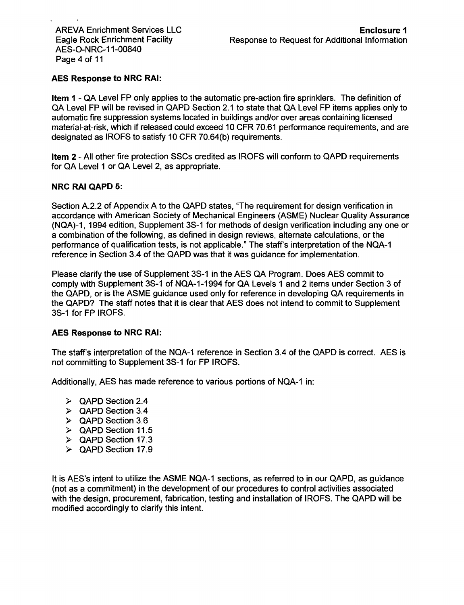# AES Response to NRC RAI:

Item **I** - QA Level FP only applies to the automatic pre-action fire sprinklers. The definition of QA Level FP will be revised in QAPD Section 2.1 to state that QA Level FP items applies only to automatic fire suppression systems located in buildings and/or over areas containing licensed material-at-risk, which if released could exceed 10 CFR 70.61 performance requirements, and are designated as IROFS to satisfy 10 CFR 70.64(b) requirements.

Item 2 - All other fire protection SSCs credited as IROFS will conform to QAPD requirements for QA Level **1** or QA Level 2, as appropriate.

## NRC RAI QAPD **5:**

Section A.2.2 of Appendix A to the QAPD states, "The requirement for design verification in accordance with American Society of Mechanical Engineers (ASME) Nuclear Quality Assurance (NQA)-1, 1994 edition, Supplement 3S-1 for methods of design verification including any one or a combination of the following, as defined in design reviews, alternate calculations, or the performance of qualification tests, is not applicable." The staff's interpretation of the NQA-1 reference in Section 3.4 of the QAPD was that it was guidance for implementation.

Please clarify the use of Supplement 3S-1 in the AES QA Program. Does AES commit to comply with Supplement 3S-1 of NQA-1 -1994 for QA Levels 1 and 2 items under Section 3 of the QAPD, or is the ASME guidance used only for reference in developing QA requirements in the QAPD? The staff notes that it is clear that AES does not intend to commit to Supplement 3S-1 for FP IROFS.

### AES Response to NRC RAI:

The staff's interpretation of the NQA-1 reference in Section 3.4 of the QAPD is correct. AES is not committing to Supplement 3S-1 for FP IROFS.

Additionally, AES has made reference to various portions of NQA-1 in:

- **)** QAPD Section 2.4
- **>** QAPD Section 3.4
- **>** QAPD Section 3.6
- **>** QAPD Section 11.5
- **>** QAPD Section 17.3
- **>** QAPD Section 17.9

It is AES's intent to utilize the ASME NQA-1 sections, as referred to in our QAPD, as guidance (not as a commitment) in the development of our procedures to control activities associated with the design, procurement, fabrication, testing and installation of IROFS. The QAPD will be modified accordingly to clarify this intent.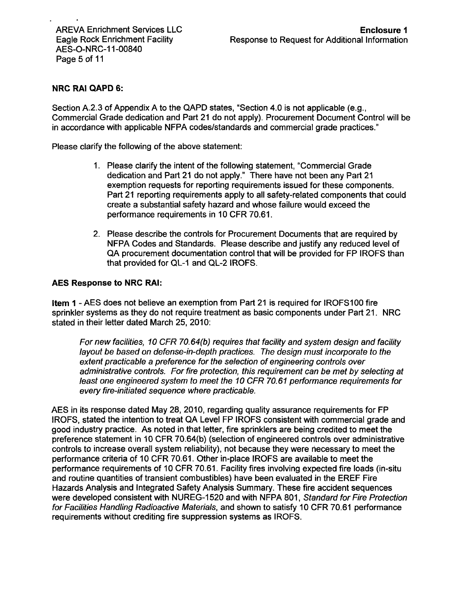# NRC RAI **QAPD 6:**

Section A.2.3 of Appendix A to the QAPD states, "Section 4.0 is not applicable (e.g., Commercial Grade dedication and Part 21 do not apply). Procurement Document Control will be in accordance with applicable NFPA codes/standards and commercial grade practices."

Please clarify the following of the above statement:

- 1. Please clarify the intent of the following statement, "Commercial Grade dedication and Part 21 do not apply." There have not been any Part 21 exemption requests for reporting requirements issued for these components. Part 21 reporting requirements apply to all safety-related components that could create a substantial safety hazard and whose failure would exceed the performance requirements in 10 CFR 70.61.
- 2. Please describe the controls for Procurement Documents that are required by NFPA Codes and Standards. Please describe and justify any reduced level of QA procurement documentation control that will be provided for FP IROFS than that provided for QL-1 and QL-2 IROFS.

## **AES** Response to NRC RAI:

Item **1** - AES does not believe an exemption from Part 21 is required for IROFS100 fire sprinkler systems as they do not require treatment as basic components under Part 21. NRC stated in their letter dated March 25, 2010:

*For new facilities, 10 CFR 70.64(b) requires that facility and system design and facility layout be based on defense-in-depth practices. The design must incorporate to the extent practicable a preference for the selection of engineering controls over administrative controls. For fire protection, this requirement can be met by selecting at least one engineered system to meet the 10 CFR 70.61 performance requirements for every fire-initiated sequence where practicable.*

AES in its response dated May 28, 2010, regarding quality assurance requirements for FP IROFS, stated the intention to treat QA Level FP IROFS consistent with commercial grade and good industry practice. As noted in that letter, fire sprinklers are being credited to meet the preference statement in 10 CFR 70.64(b) (selection of engineered controls over administrative controls to increase overall system reliability), not because they were necessary to meet the performance criteria of 10 CFR 70.61. Other in-place IROFS are available to meet the performance requirements of 10 CFR 70.61. Facility fires involving expected fire loads (in-situ and routine quantities of transient combustibles) have been evaluated in the EREF Fire Hazards Analysis and Integrated Safety Analysis Summary. These fire accident sequences were developed consistent with NUREG-1 520 and with NFPA 801, *Standard for Fire Protection for Facilities Handling Radioactive Materials,* and shown to satisfy 10 CFR 70.61 performance requirements without crediting fire suppression systems as IROFS.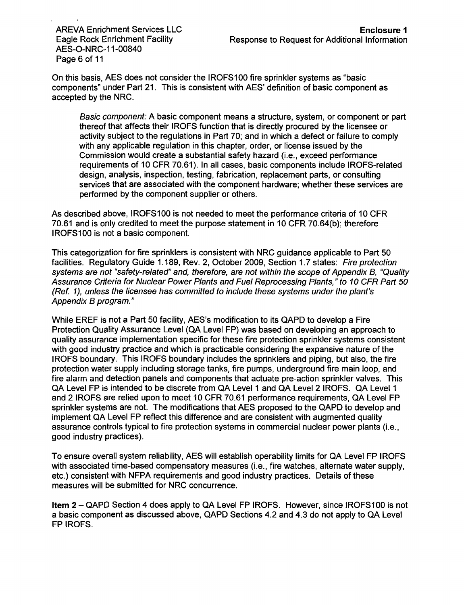AES-O-NRC-1 1-00840 Page 6 of 11

On this basis, AES does not consider the IROFS100 fire sprinkler systems as "basic components" under Part 21. This is consistent with AES' definition of basic component as accepted by the NRC.

*Basic component:* A basic component means a structure, system, or component or part thereof that affects their IROFS function that is directly procured by the licensee or activity subject to the regulations in Part 70; and in which a defect or failure to comply with any applicable regulation in this chapter, order, or license issued by the Commission would create a substantial safety hazard (i.e., exceed performance requirements of 10 CFR 70.61). In all cases, basic components include IROFS-related design, analysis, inspection, testing, fabrication, replacement parts, or consulting services that are associated with the component hardware; whether these services are performed by the component supplier or others.

As described above, IROFS100 is not needed to meet the performance criteria of 10 CFR 70.61 and is only credited to meet the purpose statement in 10 CFR 70.64(b); therefore IROFS100 is not a basic component.

This categorization for fire sprinklers is consistent with NRC guidance applicable to Part 50 facilities. Regulatory Guide 1.189, Rev. 2, October 2009, Section 1.7 states: *Fire protection systems are not "safety-related" and, therefore, are not within the scope of Appendix B, "Quality Assurance Criteria for Nuclear Power Plants and Fuel Reprocessing Plants," to 10 CFR Part 50 (Ref. 1), unless the licensee has committed to include these systems under the plant's Appendix B program."*

While EREF is not a Part 50 facility, AES's modification to its QAPD to develop a Fire Protection Quality Assurance Level (QA Level FP) was based on developing an approach to quality assurance implementation specific for these fire protection sprinkler systems consistent with good industry practice and which is practicable considering the expansive nature of the IROFS boundary. This IROFS boundary includes the sprinklers and piping, but also, the fire protection water supply including storage tanks, fire pumps, underground fire main loop, and fire alarm and detection panels and components that actuate pre-action sprinkler valves. This QA Level FP is intended to be discrete from QA Level 1 and QA Level 2 IROFS. QA Level 1 and 2 IROFS are relied upon to meet 10 CFR 70.61 performance requirements, QA Level FP sprinkler systems are not. The modifications that AES proposed to the QAPD to develop and implement QA Level FP reflect this difference and are consistent with augmented quality assurance controls typical to fire protection systems in commercial nuclear power plants (i.e., good industry practices).

To ensure overall system reliability, AES will establish operability limits for QA Level FP IROFS with associated time-based compensatory measures (i.e., fire watches, alternate water supply, etc.) consistent with NFPA requirements and good industry practices. Details of these measures will be submitted for NRC concurrence.

Item 2 - QAPD Section 4 does apply to QA Level FP IROFS. However, since IROFS100 is not a basic component as discussed above, QAPD Sections 4.2 and 4.3 do not apply to QA Level FP IROFS.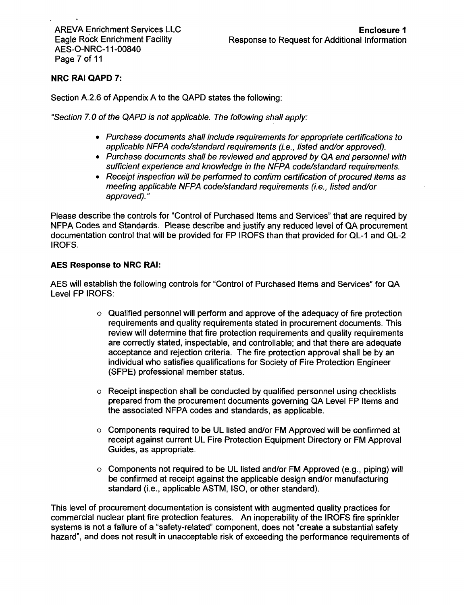# NRC RAI **QAPD 7:**

Section A.2.6 of Appendix A to the QAPD states the following:

*"Section 7. 0 of the QAPD is not applicable. The following shall apply:*

- **\*** *Purchase documents shall include requirements for appropriate certifications to applicable NFPA code/standard requirements (i.e., listed and/or approved).*
- **<sup>e</sup>***Purchase documents shall be reviewed and approved by QA and personnel with sufficient experience and knowledge in the NFPA code/standard requirements.*
- \* *Receipt inspection will be performed to confirm certification of procured items as meeting applicable NFPA code/standard requirements (i.e., listed and/or approved)."*

Please describe the controls for "Control of Purchased Items and Services" that are required by NFPA Codes and Standards. Please describe and justify any reduced level of QA procurement documentation control that will be provided for FP IROFS than that provided for QL-1 and QL-2 IROFS.

## **AES** Response to NRC RAI:

AES will establish the following controls for "Control of Purchased Items and Services" for QA Level FP IROFS:

- o Qualified personnel will perform and approve of the adequacy of fire protection requirements and quality requirements stated in procurement documents. This review will determine that fire protection requirements and quality requirements are correctly stated, inspectable, and controllable; and that there are adequate acceptance and rejection criteria. The fire protection approval shall be by an individual who satisfies qualifications for Society of Fire Protection Engineer (SFPE) professional member status.
- o Receipt inspection shall be conducted by qualified personnel using checklists prepared from the procurement documents governing QA Level FP Items and the associated NFPA codes and standards, as applicable.
- o Components required to be UL listed and/or FM Approved will be confirmed at receipt against current UL Fire Protection Equipment Directory or FM Approval Guides, as appropriate.
- o Components not required to be UL listed and/or FM Approved (e.g., piping) will be confirmed at receipt against the applicable design and/or manufacturing standard (i.e., applicable ASTM, ISO, or other standard).

This level of procurement documentation is consistent with augmented quality practices for commercial nuclear plant fire protection features. An inoperability of the IROFS fire sprinkler systems is not a failure of a "safety-related" component, does not "create a substantial safety hazard", and does not result in unacceptable risk of exceeding the performance requirements of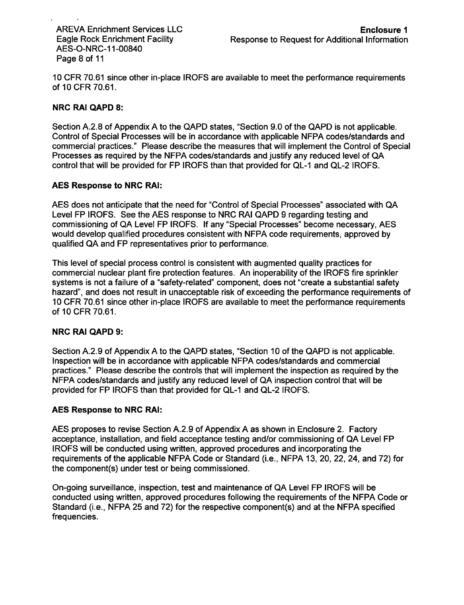AES-O-NRC-1 1-00840 Page 8 of 11

10 CFR 70.61 since other in-place IROFS are available to meet the performance requirements of 10 CFR 70.61.

## NRC RAI QAPD 8:

Section A.2.8 of Appendix A to the QAPD states, "Section 9.0 of the QAPD is not applicable. Control of Special Processes will be in accordance with applicable NFPA codes/standards and commercial practices." Please describe the measures that will implement the Control of Special Processes as required by the NFPA codes/standards and justify any reduced level of QA control that will be provided for FP IROFS than that provided for QL-1 and QL-2 IROFS.

## AES Response to NRC RAI:

AES does not anticipate that the need for "Control of Special Processes" associated with QA Level FP IROFS. See the AES response to NRC RAI QAPD 9 regarding testing and commissioning of QA Level FP IROFS. If any "Special Processes" become necessary, AES would develop qualified procedures consistent with NFPA code requirements, approved by qualified QA and FP representatives prior to performance.

This level of special process control is consistent with augmented quality practices for commercial nuclear plant fire protection features. An inoperability of the IROFS fire sprinkler systems is not a failure of a "safety-related" component, does not "create a substantial safety hazard", and does not result in unacceptable risk of exceeding the performance requirements of 10 CFR 70.61 since other in-place IROFS are available to meet the performance requirements of 10 CFR 70.61.

## NRC RAI QAPD **9:**

Section A.2.9 of Appendix A to the QAPD states, "Section 10 of the QAPD is not applicable. Inspection will be in accordance with applicable NFPA codes/standards and commercial practices." Please describe the controls that will implement the inspection as required by the **NFPA** codes/standards and justify any reduced level of QA inspection control that will be provided for FP IROFS than that provided for QL-1 and QL-2 IROFS.

### AES Response to NRC RAI:

AES proposes to revise Section A.2.9 of Appendix A as shown in Enclosure 2. Factory acceptance, installation, and field acceptance testing and/or commissioning of QA Level FP IROFS will be conducted using written, approved procedures and incorporating the requirements of the applicable NFPA Code or Standard (i.e., NFPA 13, 20, 22, 24, and 72) for the component(s) under test or being commissioned.

On-going surveillance, inspection, test and maintenance of QA Level FP IROFS will be conducted using written, approved procedures following the requirements of the NFPA Code or Standard (i.e., NFPA 25 and 72) for the respective component(s) and at the NFPA specified frequencies.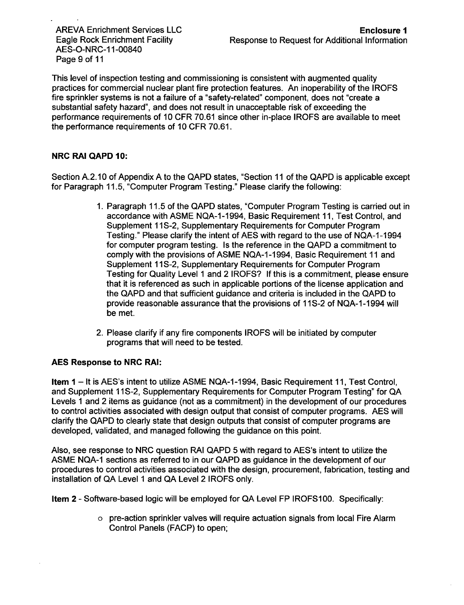AES-O-NRC-1 1-00840 Page 9 of 11

This level of inspection testing and commissioning is consistent with augmented quality practices for commercial nuclear plant fire protection features. An inoperability of the IROFS fire sprinkler systems is not a failure of a "safety-related" component, does not "create a substantial safety hazard", and does not result in unacceptable risk of exceeding the performance requirements of 10 CFR 70.61 since other in-place IROFS are available to meet the performance requirements of 10 CFR 70.61.

# NRC RAI **QAPD 10:**

Section A.2. 10 of Appendix A to the QAPD states, "Section 11 of the QAPD is applicable except for Paragraph 11.5, "Computer Program Testing." Please clarify the following:

- 1. Paragraph 11.5 of the QAPD states, "Computer Program Testing is carried out in accordance with ASME NQA-1 -1994, Basic Requirement 11, Test Control, and Supplement 11S-2, Supplementary Requirements for Computer Program Testing." Please clarify the intent of AES with regard to the use of NQA-1-1994 for computer program testing. Is the reference in the QAPD a commitment to comply with the provisions of ASME NQA-1 -1994, Basic Requirement 11 and Supplement 11S-2, Supplementary Requirements for Computer Program Testing for Quality Level 1 and 2 IROFS? If this is a commitment, please ensure that it is referenced as such in applicable portions of the license application and the QAPD and that sufficient guidance and criteria is included in the QAPD to provide reasonable assurance that the provisions of **11S-2** of NQA-1-1994 will be met.
- 2. Please clarify if any fire components IROFS will be initiated by computer programs that will need to be tested.

## **AES** Response to NRC **RAI:**

**Item 1** – It is AES's intent to utilize ASME NQA-1-1994, Basic Requirement 11, Test Control, and Supplement 11S-2, Supplementary Requirements for Computer Program Testing" for QA Levels 1 and 2 items as guidance (not as a commitment) in the development of our procedures to control activities associated with design output that consist of computer programs. AES will clarify the QAPD to clearly state that design outputs that consist of computer programs are developed, validated, and managed following the guidance on this point.

Also, see response to NRC question RAI QAPD 5 with regard to AES's intent to utilize the ASME NQA-1 sections as referred to in our QAPD as guidance in the development of our procedures to control activities associated with the design, procurement, fabrication, testing and installation of QA Level 1 and QA Level 2 IROFS only.

Item 2 - Software-based logic will be employed for QA Level FP IROFS100. Specifically:

o pre-action sprinkler valves will require actuation signals from local Fire Alarm Control Panels (FACP) to open;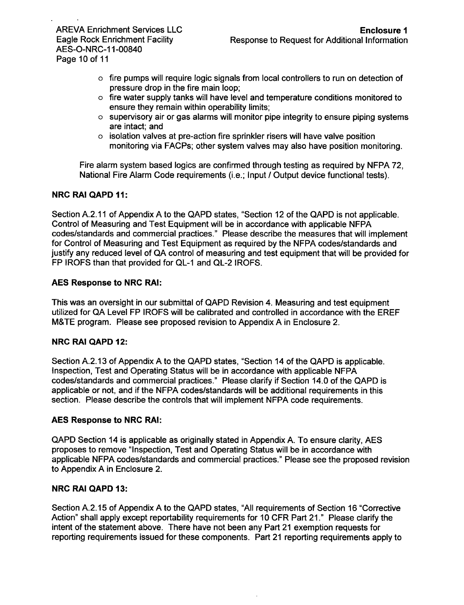AES-O-NRC-1 1-00840 Page 10 of 11

- $\circ$  fire pumps will require logic signals from local controllers to run on detection of pressure drop in the fire main loop;
- o fire water supply tanks will have level and temperature conditions monitored to ensure they remain within operability limits;
- o supervisory air or gas alarms will monitor pipe integrity to ensure piping systems are intact; and
- $\circ$  isolation valves at pre-action fire sprinkler risers will have valve position monitoring via FACPs; other system valves may also have position monitoring.

Fire alarm system based logics are confirmed through testing as required by NFPA 72, National Fire Alarm Code requirements (i.e.; Input **/** Output device functional tests).

## NRC RAI **QAPD 11:**

Section A.2.11 of Appendix A to the QAPD states, "Section 12 of the QAPD is not applicable. Control of Measuring and Test Equipment will be in accordance with applicable NFPA codes/standards and commercial practices." Please describe the measures that will implement for Control of Measuring and Test Equipment as required by the NFPA codes/standards and justify any reduced level of QA control of measuring and test equipment that will be provided for FP IROFS than that provided for QL-1 and QL-2 IROFS.

## **AES** Response to NRC **RAI:**

This was an oversight in our submittal of QAPD Revision 4. Measuring and test equipment utilized for QA Level FP IROFS will be calibrated and controlled in accordance with the EREF M&TE program. Please see proposed revision to Appendix A in Enclosure 2.

### NRC RAI **QAPD** 12:

Section A.2.13 of Appendix A to the QAPD states, "Section 14 of the QAPD is applicable. Inspection, Test and Operating Status will be in accordance with applicable NFPA codes/standards and commercial practices." Please clarify if Section 14.0 of the QAPD is applicable or not, and if the NFPA codes/standards will be additional requirements in this section. Please describe the controls that will implement NFPA code requirements.

### **AES** Response to NRC **RAI:**

QAPD Section 14 is applicable as originally stated in Appendix A. To ensure clarity, AES proposes to remove "Inspection, Test and Operating Status will be in accordance with applicable NFPA codes/standards and commercial practices." Please see the proposed revision to Appendix A in Enclosure 2.

### NRC RAI **QAPD 13:**

Section A.2.15 of Appendix A to the QAPD states, "All requirements of Section 16 "Corrective Action" shall apply except reportability requirements for 10 CFR Part 21." Please clarify the intent of the statement above. There have not been any Part 21 exemption requests for reporting requirements issued for these components. Part 21 reporting requirements apply to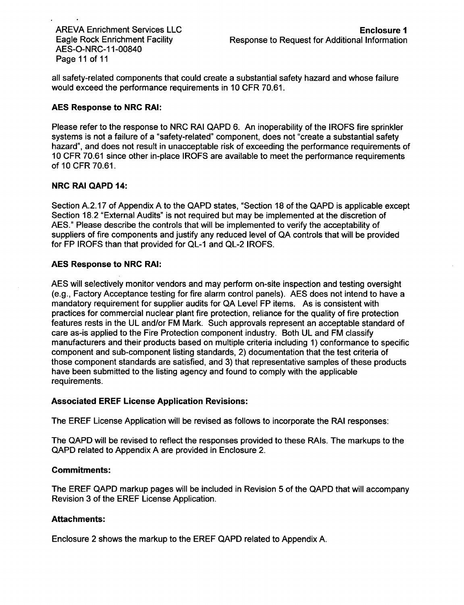AES-0-NRC-1 1-00840 Page 11 of 11

all safety-related components that could create a substantial safety hazard and whose failure would exceed the performance requirements in 10 CFR 70.61.

### **AES** Response to NRC RAI:

Please refer to the response to NRC RAI QAPD 6. An inoperability of the IROFS fire sprinkler systems is not a failure of a "safety-related" component, does not "create a substantial safety hazard", and does not result in unacceptable risk of exceeding the performance requirements of 10 CFR 70.61 since other in-place IROFS are available to meet the performance requirements of 10 CFR 70.61.

## NRC RAI **QAPD** 14:

Section A.2.17 of Appendix A to the QAPD states, "Section 18 of the QAPD is applicable except Section 18.2 "External Audits" is not required but may be implemented at the discretion of AES." Please describe the controls that will be implemented to verify the acceptability of suppliers of fire components and justify any reduced level of QA controls that will be provided for FP IROFS than that provided for QL-1 and QL-2 IROFS.

## **AES** Response to NRC RAI:

AES will selectively monitor vendors and may perform on-site inspection and testing oversight (e.g., Factory Acceptance testing for fire alarm control panels). AES does not intend to have a mandatory requirement for supplier audits for QA Level FP items. As is consistent with practices for commercial nuclear plant fire protection, reliance for the quality of fire protection features rests in the UL and/or FM Mark. Such approvals represent an acceptable standard of care as-is applied to the Fire Protection component industry. Both UL and FM classify manufacturers and their products based on multiple criteria including 1) conformance to specific component and sub-component listing standards, 2) documentation that the test criteria of those component standards are satisfied, and 3) that representative samples of these products have been submitted to the listing agency and found to comply with the applicable requirements.

### Associated EREF License Application Revisions:

The EREF License Application will be revised as follows to incorporate the RAI responses:

The **QAPD** will be revised to reflect the responses provided to these RAIs. The markups to the QAPD related to Appendix A are provided in Enclosure 2.

### Commitments:

The EREF QAPD markup pages will be included in Revision 5 of the QAPD that will accompany Revision 3 of the EREF License Application.

### Attachments:

Enclosure 2 shows the markup to the EREF QAPD related to Appendix A.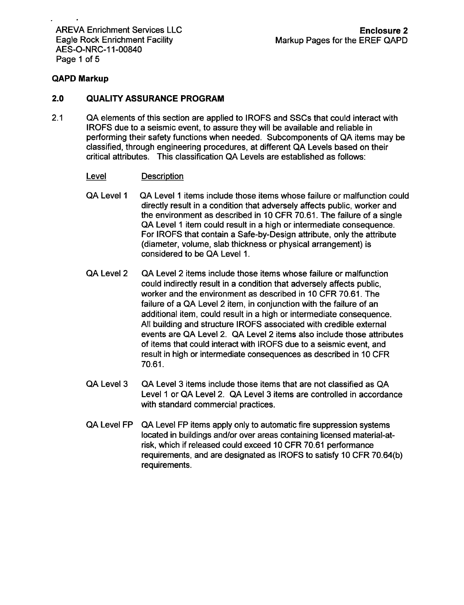AREVA Enrichment Services LLC Eagle Rock Enrichment Facility AES-O-NRC-1 1-00840 Page 1 of 5

## QAPD Markup

#### 2.0 **QUALITY ASSURANCE** PROGRAM

2.1 QA elements of this section are applied to IROFS and SSCs that could interact with IROFS due to a seismic event, to assure they will be available and reliable in performing their safety functions when needed. Subcomponents of **QA** items may be classified, through engineering procedures, at different **QA** Levels based on their critical attributes. This classification **QA** Levels are established as follows:

### Level Description

- QA Level **1** QA Level 1 items include those items whose failure or malfunction could directly result in a condition that adversely affects public, worker and the environment as described in 10 CFR 70.61. The failure of a single QA Level 1 item could result in a high or intermediate consequence. For IROFS that contain a Safe-by-Design attribute, only the attribute (diameter, volume, slab thickness or physical arrangement) is considered to be QA Level 1.
- QA Level 2 QA Level 2 items include those items whose failure or malfunction could indirectly result in a condition that adversely affects public, worker and the environment as described in 10 CFR 70.61. The failure of a QA Level 2 item, in conjunction with the failure of an additional item, could result in a high or intermediate consequence. All building and structure IROFS associated with credible external events are QA Level 2. QA Level 2 items also include those attributes of items that could interact with IROFS due to a seismic event, and result in high or intermediate consequences as described in 10 CFR 70.61.
- QA Level 3 QA Level 3 items include those items that are not classified as QA Level **1** or QA Level 2. QA Level 3 items are controlled in accordance with standard commercial practices.
- QA Level FP QA Level FP items apply only to automatic fire suppression systems located in buildings and/or over areas containing licensed material-atrisk, which if released could exceed 10 CFR 70.61 performance requirements, and are designated as IROFS to satisfy 10 CFR 70.64(b) requirements.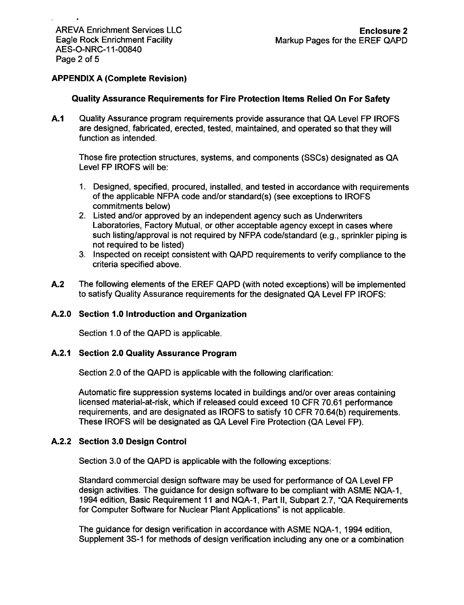# **APPENDIX A** (Complete Revision)

## Quality Assurance Requirements for Fire Protection Items Relied On For Safety

**A.1** Quality Assurance program requirements provide assurance that QA Level FP IROFS are designed, fabricated, erected, tested, maintained, and operated so that they will function as intended.

Those fire protection structures, systems, and components (SSCs) designated as QA Level FP IROFS will be:

- 1. Designed, specified, procured, installed, and tested in accordance with requirements of the applicable NFPA code and/or standard(s) (see exceptions to IROFS commitments below)
- 2. Listed and/or approved by an independent agency such as Underwriters Laboratories, Factory Mutual, or other acceptable agency except in cases where such listing/approval is not required by NFPA code/standard (e.g., sprinkler piping is not required to be listed)
- 3. Inspected on receipt consistent with QAPD requirements to verify compliance to the criteria specified above.
- A.2 The following elements of the EREF QAPD (with noted exceptions) will be implemented to satisfy Quality Assurance requirements for the designated QA Level FP IROFS:

### **A.2.0** Section **1.0** Introduction and Organization

Section 1.0 of the QAPD is applicable.

### **A.2.1** Section 2.0 Quality Assurance Program

Section 2.0 of the **QAPD** is applicable with the following clarification:

Automatic fire suppression systems located in buildings and/or over areas containing licensed material-at-risk, which if released could exceed 10 CFR 70.61 performance requirements, and are designated as IROFS to satisfy 10 CFR 70.64(b) requirements. These IROFS will be designated as QA Level Fire Protection (QA Level FP).

### **A.2.2** Section **3.0** Design Control

Section 3.0 of the **QAPD** is applicable with the following exceptions:

Standard commercial design software may be used for performance of QA Level FP design activities. The guidance for design software to be compliant with ASME NQA-1, 1994 edition, Basic Requirement 11 and NQA-1, Part II, Subpart 2.7, "QA Requirements for Computer Software for Nuclear Plant Applications" is not applicable.

The guidance for design verification in accordance with ASME NQA-1, 1994 edition, Supplement 3S-1 for methods of design verification including any one or a combination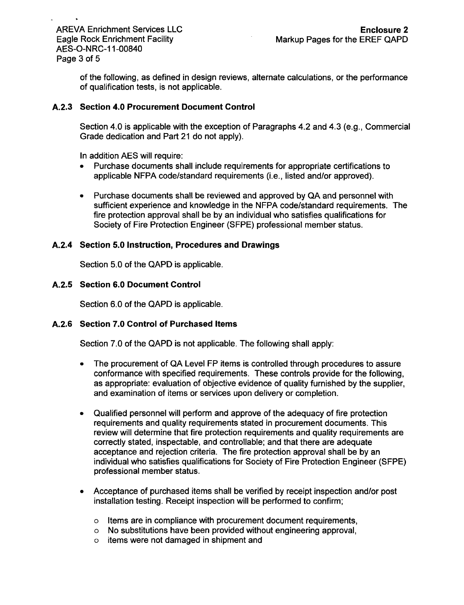of the following, as defined in design reviews, alternate calculations, or the performance of qualification tests, is not applicable.

## **A.2.3** Section 4.0 Procurement Document Control

Section 4.0 is applicable with the exception of Paragraphs 4.2 and 4.3 (e.g., Commercial Grade dedication and Part 21 do not apply).

In addition AES will require:

- Purchase documents shall include requirements for appropriate certifications to applicable NFPA code/standard requirements (i.e., listed and/or approved).
- **"** Purchase documents shall be reviewed and approved by **QA** and personnel with sufficient experience and knowledge in the NFPA code/standard requirements. The fire protection approval shall be by an individual who satisfies qualifications for Society of Fire Protection Engineer (SFPE) professional member status.

## A.2.4 Section **5.0** Instruction, Procedures and Drawings

Section 5.0 of the **QAPD** is applicable.

## **A.2.5** Section **6.0** Document Control

Section 6.0 of the QAPD is applicable.

### **A.2.6** Section **7.0** Control of Purchased Items

Section 7.0 of the **QAPD** is not applicable. The following shall apply:

- **"** The procurement of QA Level FP items is controlled through procedures to assure conformance with specified requirements. These controls provide for the following, as appropriate: evaluation of objective evidence of quality furnished by the supplier, and examination of items or services upon delivery or completion.
- **"** Qualified personnel will perform and approve of the adequacy of fire protection requirements and quality requirements stated in procurement documents. This review will determine that fire protection requirements and quality requirements are correctly stated, inspectable, and controllable; and that there are adequate acceptance and rejection criteria. The fire protection approval shall be by an individual who satisfies qualifications for Society of Fire Protection Engineer (SFPE) professional member status.
- Acceptance of purchased items shall be verified by receipt inspection and/or post installation testing. Receipt inspection will be performed to confirm;
	- o Items are in compliance with procurement document requirements,
	- o No substitutions have been provided without engineering approval,
	- o items were not damaged in shipment and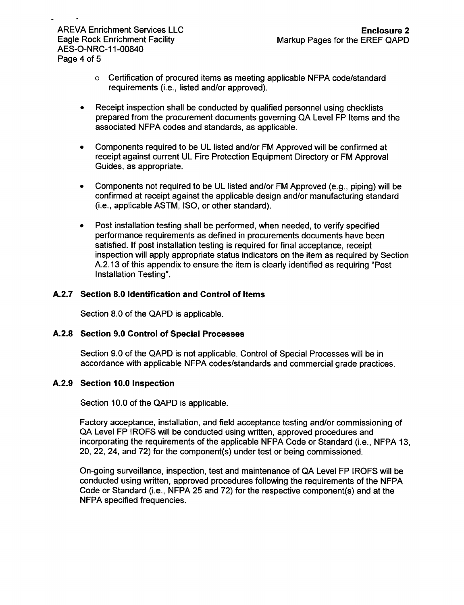- o Certification of procured items as meeting applicable NFPA code/standard requirements (i.e., listed and/or approved).
- **&** Receipt inspection shall be conducted by qualified personnel using checklists prepared from the procurement documents governing QA Level FP Items and the associated NFPA codes and standards, as applicable.
- Components required to be UL listed and/or FM Approved will be confirmed at receipt against current UL Fire Protection Equipment Directory or FM Approval Guides, as appropriate.
- **0** Components not required to be **UL** listed and/or FM Approved (e.g., piping) will be confirmed at receipt against the applicable design and/or manufacturing standard (i.e., applicable ASTM, ISO, or other standard).
- Post installation testing shall be performed, when needed, to verify specified performance requirements as defined in procurements documents have been satisfied. If post installation testing is required for final acceptance, receipt inspection will apply appropriate status indicators on the item as required by Section A.2.13 of this appendix to ensure the item is clearly identified as requiring "Post Installation Testing".

## **A.2.7** Section **8.0** Identification and Control of Items

Section 8.0 of the **QAPD** is applicable.

## **A.2.8** Section **9.0** Control of Special Processes

Section 9.0 of the QAPD is not applicable. Control of Special Processes will be in accordance with applicable NFPA codes/standards and commercial grade practices.

## **A.2.9** Section **10.0** Inspection

Section 10.0 of the QAPD is applicable.

Factory acceptance, installation, and field acceptance testing and/or commissioning of QA Level FP IROFS will be conducted using written, approved procedures and incorporating the requirements of the applicable NFPA Code or Standard (i.e., NFPA 13, 20, 22, 24, and 72) for the component(s) under test or being commissioned.

On-going surveillance, inspection, test and maintenance of QA Level FP IROFS will be conducted using written, approved procedures following the requirements of the NFPA Code or Standard (i.e., NFPA 25 and 72) for the respective component(s) and at the NFPA specified frequencies.